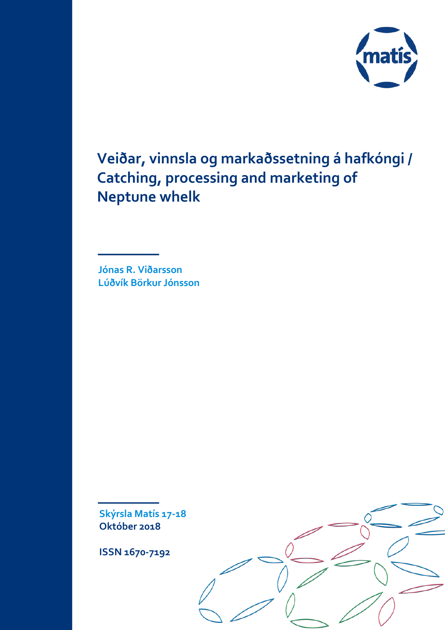

**Veiðar, vinnsla og markaðssetning á hafkóngi / Catching, processing and marketing of Neptune whelk**

**Jónas R. Viðarsson Lúðvík Börkur Jónsson**

**Skýrsla Matís 17-18 Október 2018**

**ISSN 1670-7192**

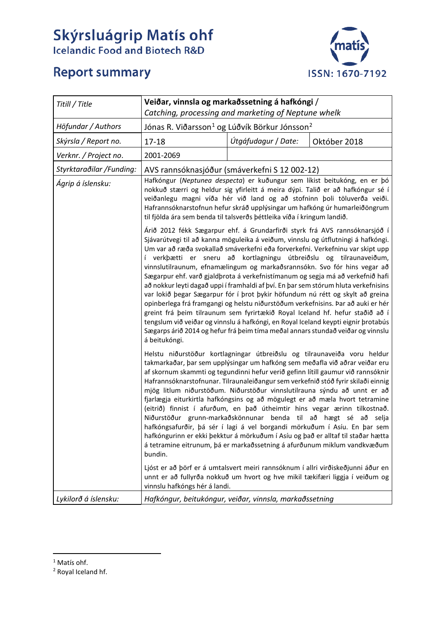# **Skýrsluágrip Matís ohf**<br>Icelandic Food and Biotech R&D



## **Report summary**

| Titill / Title           | Veiðar, vinnsla og markaðssetning á hafkóngi /                                                                                                                                                                                                                                                                                                                                                                                                                                                                                                                                                                                                                                                                                                                                                                                                                                                                                                                                                                                                                                                                                                                                                                                                                                                                                                                                                                               |                     |              |  |  |
|--------------------------|------------------------------------------------------------------------------------------------------------------------------------------------------------------------------------------------------------------------------------------------------------------------------------------------------------------------------------------------------------------------------------------------------------------------------------------------------------------------------------------------------------------------------------------------------------------------------------------------------------------------------------------------------------------------------------------------------------------------------------------------------------------------------------------------------------------------------------------------------------------------------------------------------------------------------------------------------------------------------------------------------------------------------------------------------------------------------------------------------------------------------------------------------------------------------------------------------------------------------------------------------------------------------------------------------------------------------------------------------------------------------------------------------------------------------|---------------------|--------------|--|--|
|                          | Catching, processing and marketing of Neptune whelk                                                                                                                                                                                                                                                                                                                                                                                                                                                                                                                                                                                                                                                                                                                                                                                                                                                                                                                                                                                                                                                                                                                                                                                                                                                                                                                                                                          |                     |              |  |  |
| Höfundar / Authors       | Jónas R. Viðarsson <sup>1</sup> og Lúðvík Börkur Jónsson <sup>2</sup>                                                                                                                                                                                                                                                                                                                                                                                                                                                                                                                                                                                                                                                                                                                                                                                                                                                                                                                                                                                                                                                                                                                                                                                                                                                                                                                                                        |                     |              |  |  |
| Skýrsla / Report no.     | $17 - 18$                                                                                                                                                                                                                                                                                                                                                                                                                                                                                                                                                                                                                                                                                                                                                                                                                                                                                                                                                                                                                                                                                                                                                                                                                                                                                                                                                                                                                    | Útgáfudagur / Date: | Október 2018 |  |  |
| Verknr. / Project no.    | 2001-2069                                                                                                                                                                                                                                                                                                                                                                                                                                                                                                                                                                                                                                                                                                                                                                                                                                                                                                                                                                                                                                                                                                                                                                                                                                                                                                                                                                                                                    |                     |              |  |  |
| Styrktaraðilar /Funding: | AVS rannsóknasjóður (smáverkefni S 12 002-12)                                                                                                                                                                                                                                                                                                                                                                                                                                                                                                                                                                                                                                                                                                                                                                                                                                                                                                                                                                                                                                                                                                                                                                                                                                                                                                                                                                                |                     |              |  |  |
| Ágrip á íslensku:        | Hafkóngur (Neptunea despecta) er kuðungur sem líkist beitukóng, en er þó<br>nokkuð stærri og heldur sig yfirleitt á meira dýpi. Talið er að hafkóngur sé í<br>veiðanlegu magni víða hér við land og að stofninn þoli töluverða veiði.<br>Hafrannsóknarstofnun hefur skráð upplýsingar um hafkóng úr humarleiðöngrum<br>til fjölda ára sem benda til talsverðs þéttleika víða í kringum landið.<br>Árið 2012 fékk Sægarpur ehf. á Grundarfirði styrk frá AVS rannsóknarsjóð í<br>Sjávarútvegi til að kanna möguleika á veiðum, vinnslu og útflutningi á hafkóngi.<br>Um var að ræða svokallað smáverkefni eða forverkefni. Verkefninu var skipt upp<br>í verkþætti er sneru að kortlagningu útbreiðslu og tilraunaveiðum,<br>vinnslutilraunum, efnamælingum og markaðsrannsókn. Svo fór hins vegar að<br>Sægarpur ehf. varð gjaldþrota á verkefnistímanum og segja má að verkefnið hafi<br>að nokkur leyti dagað uppi í framhaldi af því. En þar sem stórum hluta verkefnisins<br>var lokið þegar Sægarpur fór í þrot þykir höfundum nú rétt og skylt að greina<br>opinberlega frá framgangi og helstu niðurstöðum verkefnisins. Þar að auki er hér<br>greint frá þeim tilraunum sem fyrirtækið Royal Iceland hf. hefur staðið að í<br>tengslum við veiðar og vinnslu á hafkóngi, en Royal Iceland keypti eignir þrotabús<br>Sægarps árið 2014 og hefur frá þeim tíma meðal annars stundað veiðar og vinnslu<br>á beitukóngi. |                     |              |  |  |
|                          |                                                                                                                                                                                                                                                                                                                                                                                                                                                                                                                                                                                                                                                                                                                                                                                                                                                                                                                                                                                                                                                                                                                                                                                                                                                                                                                                                                                                                              |                     |              |  |  |
|                          | Helstu niðurstöður kortlagningar útbreiðslu og tilraunaveiða voru heldur<br>takmarkaðar, þar sem upplýsingar um hafkóng sem meðafla við aðrar veiðar eru<br>af skornum skammti og tegundinni hefur verið gefinn lítill gaumur við rannsóknir<br>Hafrannsóknarstofnunar. Tilraunaleiðangur sem verkefnið stóð fyrir skilaði einnig<br>mjög litlum niðurstöðum. Niðurstöður vinnslutilrauna sýndu að unnt er að<br>fjarlægja eiturkirtla hafkóngsins og að mögulegt er að mæla hvort tetramine<br>(eitrið) finnist í afurðum, en það útheimtir hins vegar ærinn tilkostnað.<br>Niðurstöður grunn-markaðskönnunar benda til að hægt sé að selja<br>hafkóngsafurðir, þá sér í lagi á vel borgandi mörkuðum í Asíu. En þar sem<br>hafkóngurinn er ekki þekktur á mörkuðum í Asíu og það er alltaf til staðar hætta<br>á tetramine eitrunum, þá er markaðssetning á afurðunum miklum vandkvæðum<br>bundin.                                                                                                                                                                                                                                                                                                                                                                                                                                                                                                                         |                     |              |  |  |
|                          | Ljóst er að þörf er á umtalsvert meiri rannsóknum í allri virðiskeðjunni áður en<br>unnt er að fullyrða nokkuð um hvort og hve mikil tækifæri liggja í veiðum og<br>vinnslu hafkóngs hér á landi.                                                                                                                                                                                                                                                                                                                                                                                                                                                                                                                                                                                                                                                                                                                                                                                                                                                                                                                                                                                                                                                                                                                                                                                                                            |                     |              |  |  |
| Lykilorð á íslensku:     | Hafkóngur, beitukóngur, veiðar, vinnsla, markaðssetning                                                                                                                                                                                                                                                                                                                                                                                                                                                                                                                                                                                                                                                                                                                                                                                                                                                                                                                                                                                                                                                                                                                                                                                                                                                                                                                                                                      |                     |              |  |  |

 $1$  Matís ohf.

<span id="page-1-1"></span><span id="page-1-0"></span><sup>2</sup> Royal Iceland hf.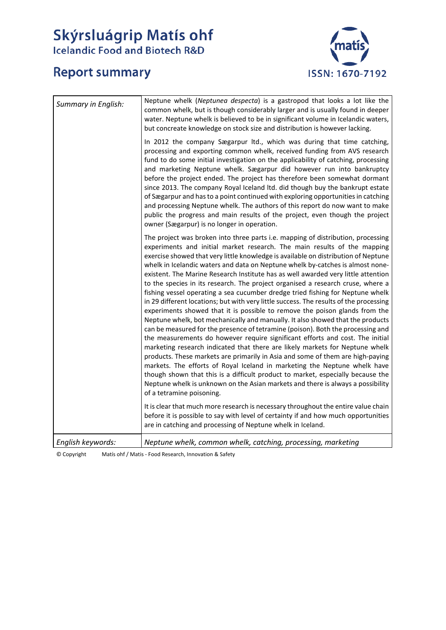# Skýrsluágrip Matís ohf<br>Icelandic Food and Biotech R&D

## **Report summary**



| Summary in English: | Neptune whelk (Neptunea despecta) is a gastropod that looks a lot like the<br>common whelk, but is though considerably larger and is usually found in deeper<br>water. Neptune whelk is believed to be in significant volume in Icelandic waters,<br>but concreate knowledge on stock size and distribution is however lacking.                                                                                                                                                                                                                                                                                                                                                                                                                                                                                                                                                                                                                                                                                                                                                                                                                                                                                                                                                                                                                                                                                                                                                                                                                                                                                                                                                                                            |
|---------------------|----------------------------------------------------------------------------------------------------------------------------------------------------------------------------------------------------------------------------------------------------------------------------------------------------------------------------------------------------------------------------------------------------------------------------------------------------------------------------------------------------------------------------------------------------------------------------------------------------------------------------------------------------------------------------------------------------------------------------------------------------------------------------------------------------------------------------------------------------------------------------------------------------------------------------------------------------------------------------------------------------------------------------------------------------------------------------------------------------------------------------------------------------------------------------------------------------------------------------------------------------------------------------------------------------------------------------------------------------------------------------------------------------------------------------------------------------------------------------------------------------------------------------------------------------------------------------------------------------------------------------------------------------------------------------------------------------------------------------|
|                     | In 2012 the company Sægarpur Itd., which was during that time catching,<br>processing and exporting common whelk, received funding from AVS research<br>fund to do some initial investigation on the applicability of catching, processing<br>and marketing Neptune whelk. Sægarpur did however run into bankruptcy<br>before the project ended. The project has therefore been somewhat dormant<br>since 2013. The company Royal Iceland Itd. did though buy the bankrupt estate<br>of Sægarpur and has to a point continued with exploring opportunities in catching<br>and processing Neptune whelk. The authors of this report do now want to make<br>public the progress and main results of the project, even though the project<br>owner (Sægarpur) is no longer in operation.                                                                                                                                                                                                                                                                                                                                                                                                                                                                                                                                                                                                                                                                                                                                                                                                                                                                                                                                      |
|                     | The project was broken into three parts i.e. mapping of distribution, processing<br>experiments and initial market research. The main results of the mapping<br>exercise showed that very little knowledge is available on distribution of Neptune<br>whelk in Icelandic waters and data on Neptune whelk by-catches is almost none-<br>existent. The Marine Research Institute has as well awarded very little attention<br>to the species in its research. The project organised a research cruse, where a<br>fishing vessel operating a sea cucumber dredge tried fishing for Neptune whelk<br>in 29 different locations; but with very little success. The results of the processing<br>experiments showed that it is possible to remove the poison glands from the<br>Neptune whelk, bot mechanically and manually. It also showed that the products<br>can be measured for the presence of tetramine (poison). Both the processing and<br>the measurements do however require significant efforts and cost. The initial<br>marketing research indicated that there are likely markets for Neptune whelk<br>products. These markets are primarily in Asia and some of them are high-paying<br>markets. The efforts of Royal Iceland in marketing the Neptune whelk have<br>though shown that this is a difficult product to market, especially because the<br>Neptune whelk is unknown on the Asian markets and there is always a possibility<br>of a tetramine poisoning.<br>It is clear that much more research is necessary throughout the entire value chain<br>before it is possible to say with level of certainty if and how much opportunities<br>are in catching and processing of Neptune whelk in Iceland. |
| English keywords:   | Neptune whelk, common whelk, catching, processing, marketing                                                                                                                                                                                                                                                                                                                                                                                                                                                                                                                                                                                                                                                                                                                                                                                                                                                                                                                                                                                                                                                                                                                                                                                                                                                                                                                                                                                                                                                                                                                                                                                                                                                               |

© Copyright Matís ohf / Matis - Food Research, Innovation & Safety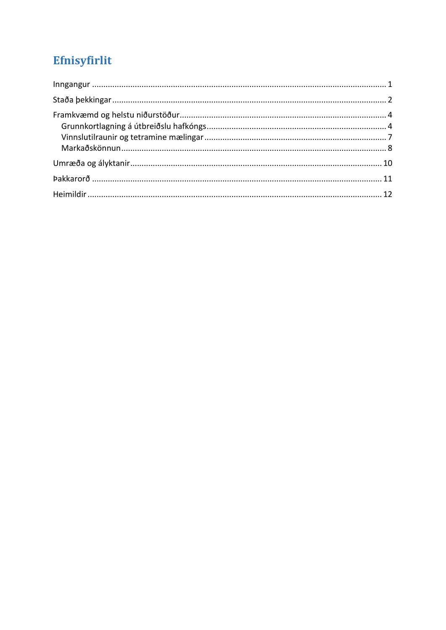# Efnisyfirlit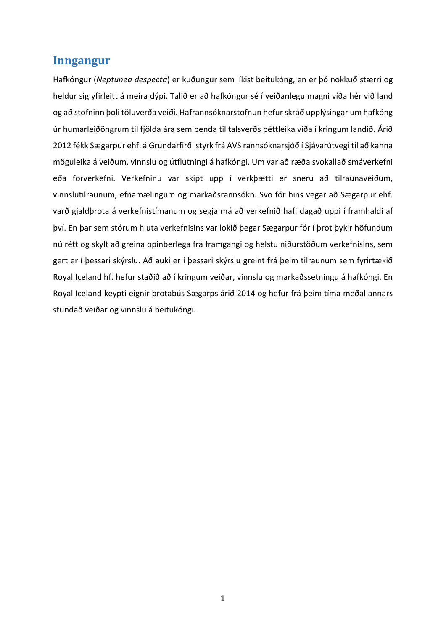#### <span id="page-4-0"></span>**Inngangur**

Hafkóngur (*Neptunea despecta*) er kuðungur sem líkist beitukóng, en er þó nokkuð stærri og heldur sig yfirleitt á meira dýpi. Talið er að hafkóngur sé í veiðanlegu magni víða hér við land og að stofninn þoli töluverða veiði. Hafrannsóknarstofnun hefur skráð upplýsingar um hafkóng úr humarleiðöngrum til fjölda ára sem benda til talsverðs þéttleika víða í kringum landið. Árið 2012 fékk Sægarpur ehf. á Grundarfirði styrk frá AVS rannsóknarsjóð í Sjávarútvegi til að kanna möguleika á veiðum, vinnslu og útflutningi á hafkóngi. Um var að ræða svokallað smáverkefni eða forverkefni. Verkefninu var skipt upp í verkþætti er sneru að tilraunaveiðum, vinnslutilraunum, efnamælingum og markaðsrannsókn. Svo fór hins vegar að Sægarpur ehf. varð gjaldþrota á verkefnistímanum og segja má að verkefnið hafi dagað uppi í framhaldi af því. En þar sem stórum hluta verkefnisins var lokið þegar Sægarpur fór í þrot þykir höfundum nú rétt og skylt að greina opinberlega frá framgangi og helstu niðurstöðum verkefnisins, sem gert er í þessari skýrslu. Að auki er í þessari skýrslu greint frá þeim tilraunum sem fyrirtækið Royal Iceland hf. hefur staðið að í kringum veiðar, vinnslu og markaðssetningu á hafkóngi. En Royal Iceland keypti eignir þrotabús Sægarps árið 2014 og hefur frá þeim tíma meðal annars stundað veiðar og vinnslu á beitukóngi.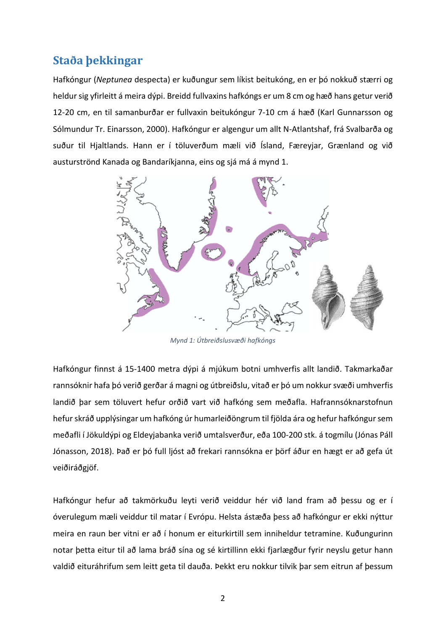## <span id="page-5-0"></span>**Staða þekkingar**

Hafkóngur (*Neptunea* despecta) er kuðungur sem líkist beitukóng, en er þó nokkuð stærri og heldur sig yfirleitt á meira dýpi. Breidd fullvaxins hafkóngs er um 8 cm og hæð hans getur verið 12-20 cm, en til samanburðar er fullvaxin beitukóngur 7-10 cm á hæð (Karl Gunnarsson og Sólmundur Tr. Einarsson, 2000). Hafkóngur er algengur um allt N-Atlantshaf, frá Svalbarða og suður til Hjaltlands. Hann er í töluverðum mæli við Ísland, Færeyjar, Grænland og við austurströnd Kanada og Bandaríkjanna, eins og sjá má á mynd 1.



*Mynd 1: Útbreiðslusvæði hafkóngs*

Hafkóngur finnst á 15-1400 metra dýpi á mjúkum botni umhverfis allt landið. Takmarkaðar rannsóknir hafa þó verið gerðar á magni og útbreiðslu, vitað er þó um nokkur svæði umhverfis landið þar sem töluvert hefur orðið vart við hafkóng sem meðafla. Hafrannsóknarstofnun hefur skráð upplýsingar um hafkóng úr humarleiðöngrum til fjölda ára og hefur hafkóngur sem meðafli í Jökuldýpi og Eldeyjabanka verið umtalsverður, eða 100-200 stk. á togmílu (Jónas Páll Jónasson, 2018). Það er þó full ljóst að frekari rannsókna er þörf áður en hægt er að gefa út veiðiráðgjöf.

Hafkóngur hefur að takmörkuðu leyti verið veiddur hér við land fram að þessu og er í óverulegum mæli veiddur til matar í Evrópu. Helsta ástæða þess að hafkóngur er ekki nýttur meira en raun ber vitni er að í honum er eiturkirtill sem inniheldur tetramine. Kuðungurinn notar þetta eitur til að lama bráð sína og sé kirtillinn ekki fjarlægður fyrir neyslu getur hann valdið eituráhrifum sem leitt geta til dauða. Þekkt eru nokkur tilvik þar sem eitrun af þessum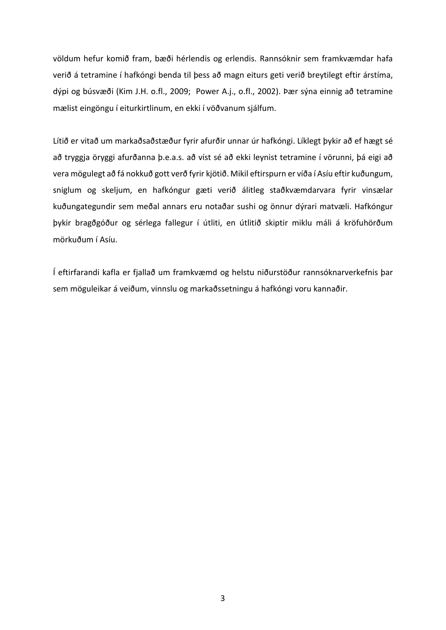völdum hefur komið fram, bæði hérlendis og erlendis. Rannsóknir sem framkvæmdar hafa verið á tetramine í hafkóngi benda til þess að magn eiturs geti verið breytilegt eftir árstíma, dýpi og búsvæði (Kim J.H. o.fl., 2009; Power A.j., o.fl., 2002). Þær sýna einnig að tetramine mælist eingöngu í eiturkirtlinum, en ekki í vöðvanum sjálfum.

Lítið er vitað um markaðsaðstæður fyrir afurðir unnar úr hafkóngi. Líklegt þykir að ef hægt sé að tryggja öryggi afurðanna þ.e.a.s. að víst sé að ekki leynist tetramine í vörunni, þá eigi að vera mögulegt að fá nokkuð gott verð fyrir kjötið. Mikil eftirspurn er víða í Asíu eftir kuðungum, sniglum og skeljum, en hafkóngur gæti verið álitleg staðkvæmdarvara fyrir vinsælar kuðungategundir sem meðal annars eru notaðar sushi og önnur dýrari matvæli. Hafkóngur þykir bragðgóður og sérlega fallegur í útliti, en útlitið skiptir miklu máli á kröfuhörðum mörkuðum í Asíu.

Í eftirfarandi kafla er fjallað um framkvæmd og helstu niðurstöður rannsóknarverkefnis þar sem möguleikar á veiðum, vinnslu og markaðssetningu á hafkóngi voru kannaðir.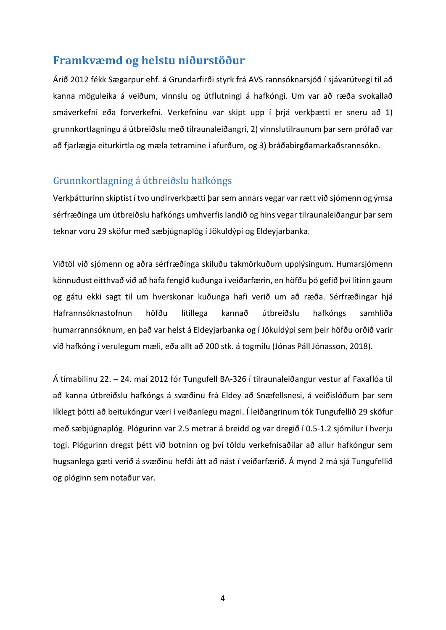#### <span id="page-7-0"></span>**Framkvæmd og helstu niðurstöður**

Árið 2012 fékk Sægarpur ehf. á Grundarfirði styrk frá AVS rannsóknarsjóð í sjávarútvegi til að kanna möguleika á veiðum, vinnslu og útflutningi á hafkóngi. Um var að ræða svokallað smáverkefni eða forverkefni. Verkefninu var skipt upp í þrjá verkþætti er sneru að 1) grunnkortlagningu á útbreiðslu með tilraunaleiðangri, 2) vinnslutilraunum þar sem prófað var að fjarlægja eiturkirtla og mæla tetramine í afurðum, og 3) bráðabirgðamarkaðsrannsókn.

#### <span id="page-7-1"></span>Grunnkortlagning á útbreiðslu hafkóngs

Verkþátturinn skiptist í tvo undirverkþætti þar sem annars vegar var rætt við sjómenn og ýmsa sérfræðinga um útbreiðslu hafkóngs umhverfis landið og hins vegar tilraunaleiðangur þar sem teknar voru 29 sköfur með sæbjúgnaplóg í Jökuldýpi og Eldeyjarbanka.

Viðtöl við sjómenn og aðra sérfræðinga skiluðu takmörkuðum upplýsingum. Humarsjómenn könnuðust eitthvað við að hafa fengið kuðunga í veiðarfærin, en höfðu þó gefið því lítinn gaum og gátu ekki sagt til um hverskonar kuðunga hafi verið um að ræða. Sérfræðingar hjá Hafrannsóknastofnun höfðu lítillega kannað útbreiðslu hafkóngs samhliða humarrannsóknum, en það var helst á Eldeyjarbanka og í Jökuldýpi sem þeir höfðu orðið varir við hafkóng í verulegum mæli, eða allt að 200 stk. á togmílu (Jónas Páll Jónasson, 2018).

Á tímabilinu 22. – 24. maí 2012 fór Tungufell BA-326 í tilraunaleiðangur vestur af Faxaflóa til að kanna útbreiðslu hafkóngs á svæðinu frá Eldey að Snæfellsnesi, á veiðislóðum þar sem líklegt þótti að beitukóngur væri í veiðanlegu magni. Í leiðangrinum tók Tungufellið 29 sköfur með sæbjúgnaplóg. Plógurinn var 2.5 metrar á breidd og var dregið í 0.5-1.2 sjómílur í hverju togi. Plógurinn dregst þétt við botninn og því töldu verkefnisaðilar að allur hafkóngur sem hugsanlega gæti verið á svæðinu hefði átt að nást í veiðarfærið. Á mynd 2 má sjá Tungufellið og plóginn sem notaður var.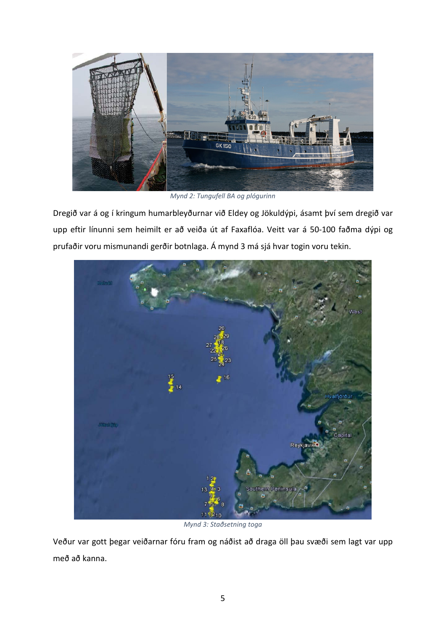

*Mynd 2: Tungufell BA og plógurinn*

Dregið var á og í kringum humarbleyðurnar við Eldey og Jökuldýpi, ásamt því sem dregið var upp eftir línunni sem heimilt er að veiða út af Faxaflóa. Veitt var á 50-100 faðma dýpi og prufaðir voru mismunandi gerðir botnlaga. Á mynd 3 má sjá hvar togin voru tekin.



*Mynd 3: Staðsetning toga*

Veður var gott þegar veiðarnar fóru fram og náðist að draga öll þau svæði sem lagt var upp með að kanna.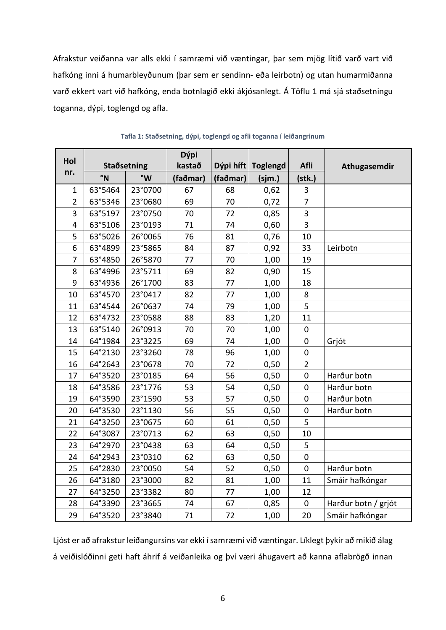Afrakstur veiðanna var alls ekki í samræmi við væntingar, þar sem mjög lítið varð vart við hafkóng inni á humarbleyðunum (þar sem er sendinn- eða leirbotn) og utan humarmiðanna varð ekkert vart við hafkóng, enda botnlagið ekki ákjósanlegt. Á Töflu 1 má sjá staðsetningu toganna, dýpi, toglengd og afla.

|                |             |         | Dýpi     |           |                 |                |                     |
|----------------|-------------|---------|----------|-----------|-----------------|----------------|---------------------|
| Hol            | Staðsetning |         | kastað   | Dýpi híft | <b>Toglengd</b> | Afli           | Athugasemdir        |
| nr.            | °N          | °W      | (faðmar) | (faðmar)  | (sjm.)          | (stk.)         |                     |
| $\mathbf{1}$   | 63°5464     | 23°0700 | 67       | 68        | 0,62            | 3              |                     |
| $\overline{2}$ | 63°5346     | 23°0680 | 69       | 70        | 0,72            | $\overline{7}$ |                     |
| 3              | 63°5197     | 23°0750 | 70       | 72        | 0,85            | 3              |                     |
| 4              | 63°5106     | 23°0193 | 71       | 74        | 0,60            | 3              |                     |
| 5              | 63°5026     | 26°0065 | 76       | 81        | 0,76            | 10             |                     |
| 6              | 63°4899     | 23°5865 | 84       | 87        | 0,92            | 33             | Leirbotn            |
| 7              | 63°4850     | 26°5870 | 77       | 70        | 1,00            | 19             |                     |
| 8              | 63°4996     | 23°5711 | 69       | 82        | 0,90            | 15             |                     |
| 9              | 63°4936     | 26°1700 | 83       | 77        | 1,00            | 18             |                     |
| 10             | 63°4570     | 23°0417 | 82       | 77        | 1,00            | 8              |                     |
| 11             | 63°4544     | 26°0637 | 74       | 79        | 1,00            | 5              |                     |
| 12             | 63°4732     | 23°0588 | 88       | 83        | 1,20            | 11             |                     |
| 13             | 63°5140     | 26°0913 | 70       | 70        | 1,00            | $\pmb{0}$      |                     |
| 14             | 64°1984     | 23°3225 | 69       | 74        | 1,00            | $\mathbf 0$    | Grjót               |
| 15             | 64°2130     | 23°3260 | 78       | 96        | 1,00            | $\pmb{0}$      |                     |
| 16             | 64°2643     | 23°0678 | 70       | 72        | 0,50            | $\overline{2}$ |                     |
| 17             | 64°3520     | 23°0185 | 64       | 56        | 0,50            | $\mathbf 0$    | Harður botn         |
| 18             | 64°3586     | 23°1776 | 53       | 54        | 0,50            | $\pmb{0}$      | Harður botn         |
| 19             | 64°3590     | 23°1590 | 53       | 57        | 0,50            | 0              | Harður botn         |
| 20             | 64°3530     | 23°1130 | 56       | 55        | 0,50            | $\mathbf 0$    | Harður botn         |
| 21             | 64°3250     | 23°0675 | 60       | 61        | 0,50            | 5              |                     |
| 22             | 64°3087     | 23°0713 | 62       | 63        | 0,50            | 10             |                     |
| 23             | 64°2970     | 23°0438 | 63       | 64        | 0,50            | 5              |                     |
| 24             | 64°2943     | 23°0310 | 62       | 63        | 0,50            | $\mathbf 0$    |                     |
| 25             | 64°2830     | 23°0050 | 54       | 52        | 0,50            | $\mathbf 0$    | Harður botn         |
| 26             | 64°3180     | 23°3000 | 82       | 81        | 1,00            | 11             | Smáir hafkóngar     |
| 27             | 64°3250     | 23°3382 | 80       | 77        | 1,00            | 12             |                     |
| 28             | 64°3390     | 23°3665 | 74       | 67        | 0,85            | $\mathbf 0$    | Harður botn / grjót |
| 29             | 64°3520     | 23°3840 | 71       | 72        | 1,00            | 20             | Smáir hafkóngar     |

|  |  |  |  | Tafla 1: Staðsetning, dýpi, toglengd og afli toganna í leiðangrinum |
|--|--|--|--|---------------------------------------------------------------------|
|--|--|--|--|---------------------------------------------------------------------|

Ljóst er að afrakstur leiðangursins var ekki í samræmi við væntingar. Líklegt þykir að mikið álag á veiðislóðinni geti haft áhrif á veiðanleika og því væri áhugavert að kanna aflabrögð innan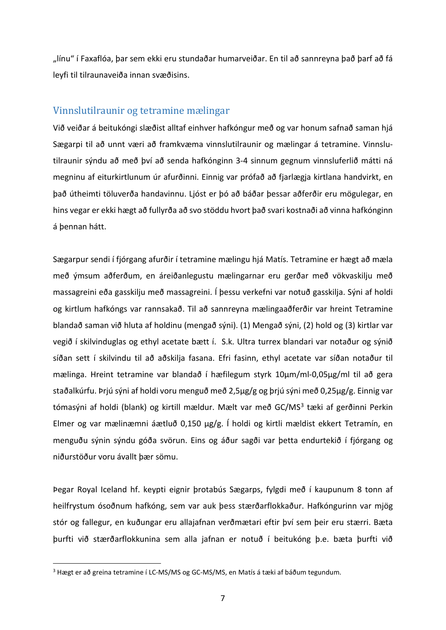"línu" í Faxaflóa, þar sem ekki eru stundaðar humarveiðar. En til að sannreyna það þarf að fá leyfi til tilraunaveiða innan svæðisins.

#### <span id="page-10-0"></span>Vinnslutilraunir og tetramine mælingar

Við veiðar á beitukóngi slæðist alltaf einhver hafkóngur með og var honum safnað saman hjá Sægarpi til að unnt væri að framkvæma vinnslutilraunir og mælingar á tetramine. Vinnslutilraunir sýndu að með því að senda hafkónginn 3-4 sinnum gegnum vinnsluferlið mátti ná megninu af eiturkirtlunum úr afurðinni. Einnig var prófað að fjarlægja kirtlana handvirkt, en það útheimti töluverða handavinnu. Ljóst er þó að báðar þessar aðferðir eru mögulegar, en hins vegar er ekki hægt að fullyrða að svo stöddu hvort það svari kostnaði að vinna hafkónginn á þennan hátt.

Sægarpur sendi í fjórgang afurðir í tetramine mælingu hjá Matís. Tetramine er hægt að mæla með ýmsum aðferðum, en áreiðanlegustu mælingarnar eru gerðar með vökvaskilju með massagreini eða gasskilju með massagreini. Í þessu verkefni var notuð gasskilja. Sýni af holdi og kirtlum hafkóngs var rannsakað. Til að sannreyna mælingaaðferðir var hreint Tetramine blandað saman við hluta af holdinu (mengað sýni). (1) Mengað sýni, (2) hold og (3) kirtlar var vegið í skilvinduglas og ethyl acetate bætt í. S.k. Ultra turrex blandari var notaður og sýnið síðan sett í skilvindu til að aðskilja fasana. Efri fasinn, ethyl acetate var síðan notaður til mælinga. Hreint tetramine var blandað í hæfilegum styrk 10µm/ml-0,05µg/ml til að gera staðalkúrfu. Þrjú sýni af holdi voru menguð með 2,5µg/g og þrjú sýni með 0,25µg/g. Einnig var tómasýni af holdi (blank) og kirtill mældur. Mælt var með GC/MS<sup>[3](#page-10-1)</sup> tæki af gerðinni Perkin Elmer og var mælinæmni áætluð 0,150 µg/g. Í holdi og kirtli mældist ekkert Tetramín, en menguðu sýnin sýndu góða svörun. Eins og áður sagði var þetta endurtekið í fjórgang og niðurstöður voru ávallt þær sömu.

Þegar Royal Iceland hf. keypti eignir þrotabús Sægarps, fylgdi með í kaupunum 8 tonn af heilfrystum ósoðnum hafkóng, sem var auk þess stærðarflokkaður. Hafkóngurinn var mjög stór og fallegur, en kuðungar eru allajafnan verðmætari eftir því sem þeir eru stærri. Bæta þurfti við stærðarflokkunina sem alla jafnan er notuð í beitukóng þ.e. bæta þurfti við

<span id="page-10-1"></span><sup>&</sup>lt;sup>3</sup> Hægt er að greina tetramine í LC-MS/MS og GC-MS/MS, en Matís á tæki af báðum tegundum.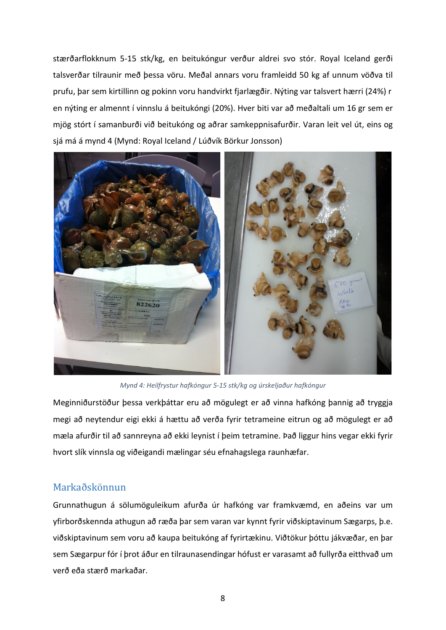stærðarflokknum 5-15 stk/kg, en beitukóngur verður aldrei svo stór. Royal Iceland gerði talsverðar tilraunir með þessa vöru. Meðal annars voru framleidd 50 kg af unnum vöðva til prufu, þar sem kirtillinn og pokinn voru handvirkt fjarlægðir. Nýting var talsvert hærri (24%) r en nýting er almennt í vinnslu á beitukóngi (20%). Hver biti var að meðaltali um 16 gr sem er mjög stórt í samanburði við beitukóng og aðrar samkeppnisafurðir. Varan leit vel út, eins og sjá má á mynd 4 (Mynd: Royal Iceland / Lúðvík Börkur Jonsson)



*Mynd 4: Heilfrystur hafkóngur 5-15 stk/kg og úrskeljaður hafkóngur*

Meginniðurstöður þessa verkþáttar eru að mögulegt er að vinna hafkóng þannig að tryggja megi að neytendur eigi ekki á hættu að verða fyrir tetrameine eitrun og að mögulegt er að mæla afurðir til að sannreyna að ekki leynist í þeim tetramine. Það liggur hins vegar ekki fyrir hvort slík vinnsla og viðeigandi mælingar séu efnahagslega raunhæfar.

#### <span id="page-11-0"></span>Markaðskönnun

Grunnathugun á sölumöguleikum afurða úr hafkóng var framkvæmd, en aðeins var um yfirborðskennda athugun að ræða þar sem varan var kynnt fyrir viðskiptavinum Sægarps, þ.e. viðskiptavinum sem voru að kaupa beitukóng af fyrirtækinu. Viðtökur þóttu jákvæðar, en þar sem Sægarpur fór í þrot áður en tilraunasendingar hófust er varasamt að fullyrða eitthvað um verð eða stærð markaðar.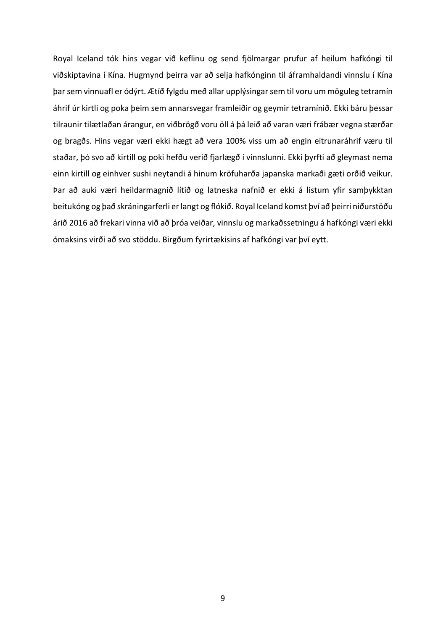Royal Iceland tók hins vegar við keflinu og send fjölmargar prufur af heilum hafkóngi til viðskiptavina í Kína. Hugmynd þeirra var að selja hafkónginn til áframhaldandi vinnslu í Kína þar sem vinnuafl er ódýrt. Ætíð fylgdu með allar upplýsingar sem til voru um möguleg tetramín áhrif úr kirtli og poka þeim sem annarsvegar framleiðir og geymir tetramínið. Ekki báru þessar tilraunir tilætlaðan árangur, en viðbrögð voru öll á þá leið að varan væri frábær vegna stærðar og bragðs. Hins vegar væri ekki hægt að vera 100% viss um að engin eitrunaráhrif væru til staðar, þó svo að kirtill og poki hefðu verið fjarlægð í vinnslunni. Ekki þyrfti að gleymast nema einn kirtill og einhver sushi neytandi á hinum kröfuharða japanska markaði gæti orðið veikur. Þar að auki væri heildarmagnið lítið og latneska nafnið er ekki á listum yfir samþykktan beitukóng og það skráningarferli er langt og flókið. Royal Iceland komst því að þeirri niðurstöðu árið 2016 að frekari vinna við að þróa veiðar, vinnslu og markaðssetningu á hafkóngi væri ekki ómaksins virði að svo stöddu. Birgðum fyrirtækisins af hafkóngi var því eytt.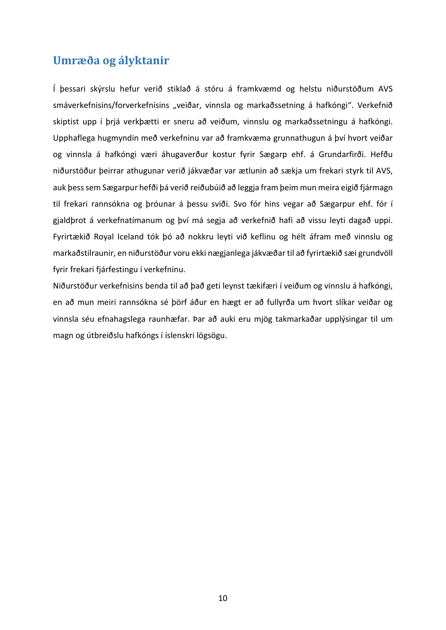#### <span id="page-13-0"></span>**Umræða og ályktanir**

Í þessari skýrslu hefur verið stiklað á stóru á framkvæmd og helstu niðurstöðum AVS smáverkefnisins/forverkefnisins "veiðar, vinnsla og markaðssetning á hafkóngi". Verkefnið skiptist upp í þrjá verkþætti er sneru að veiðum, vinnslu og markaðssetningu á hafkóngi. Upphaflega hugmyndin með verkefninu var að framkvæma grunnathugun á því hvort veiðar og vinnsla á hafkóngi væri áhugaverður kostur fyrir Sægarp ehf. á Grundarfirði. Hefðu niðurstöður þeirrar athugunar verið jákvæðar var ætlunin að sækja um frekari styrk til AVS, auk þess sem Sægarpur hefði þá verið reiðubúið að leggja fram þeim mun meira eigið fjármagn til frekari rannsókna og þróunar á þessu sviði. Svo fór hins vegar að Sægarpur ehf. fór í gjaldþrot á verkefnatímanum og því má segja að verkefnið hafi að vissu leyti dagað uppi. Fyrirtækið Royal Iceland tók þó að nokkru leyti við keflinu og hélt áfram með vinnslu og markaðstilraunir, en niðurstöður voru ekki nægjanlega jákvæðar til að fyrirtækið sæi grundvöll fyrir frekari fjárfestingu í verkefninu.

Niðurstöður verkefnisins benda til að það geti leynst tækifæri í veiðum og vinnslu á hafkóngi, en að mun meiri rannsókna sé þörf áður en hægt er að fullyrða um hvort slíkar veiðar og vinnsla séu efnahagslega raunhæfar. Þar að auki eru mjög takmarkaðar upplýsingar til um magn og útbreiðslu hafkóngs í íslenskri lögsögu.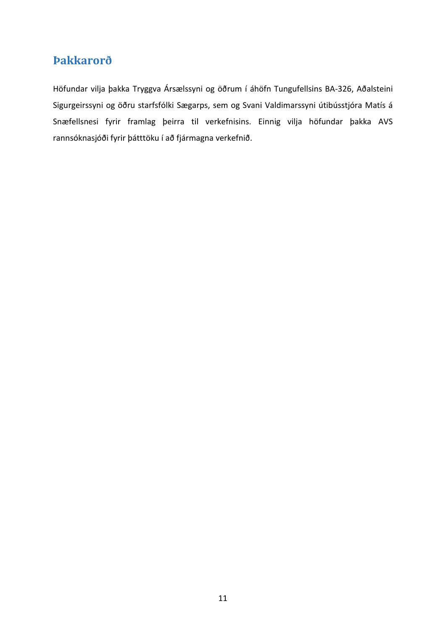### <span id="page-14-0"></span>**Þakkarorð**

Höfundar vilja þakka Tryggva Ársælssyni og öðrum í áhöfn Tungufellsins BA-326, Aðalsteini Sigurgeirssyni og öðru starfsfólki Sægarps, sem og Svani Valdimarssyni útibússtjóra Matís á Snæfellsnesi fyrir framlag þeirra til verkefnisins. Einnig vilja höfundar þakka AVS rannsóknasjóði fyrir þátttöku í að fjármagna verkefnið.